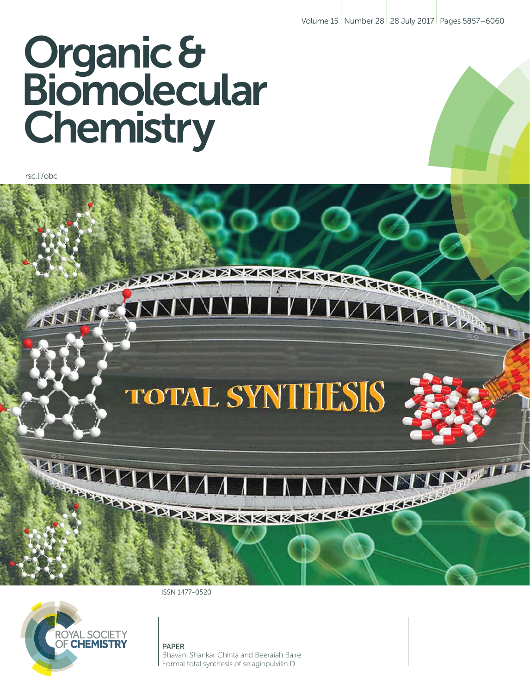Volume 15 Number 28 28 July 2017 Pages 5857–6060

# Organic & **Biomolecular Chemistry**

rsc.li/obc

#### ESPERATORE CONTRACTO **KING CHARGE** V VИ 17 AAAA ATT **RATION**

# **TOTAL SYNTHESIS**

**PERIODI ANDIAN** MMMMM **BERTHER AND RESERVED AND ALLEGATION** 

ISSN 1477-0520



PAPER Bhavani Shankar Chinta and Beeraiah Baire Formal total synthesis of selaginpulvilin D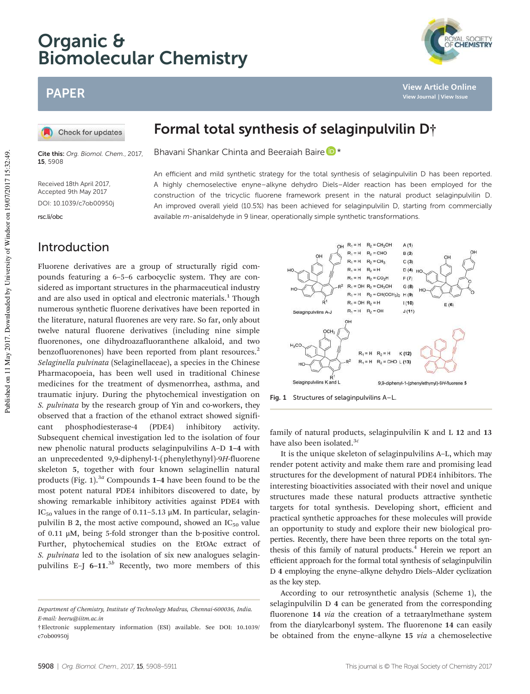# Organic & Biomolecular Chemistry

# PAPER

Check for updates

Cite this: Org. Biomol. Chem., 2017, 15, 5908

Received 18th April 2017, Accepted 9th May 2017 DOI: 10.1039/c7ob00950j

rsc.li/obc

## Introduction

Fluorene derivatives are a group of structurally rigid compounds featuring a 6–5–6 carbocyclic system. They are considered as important structures in the pharmaceutical industry and are also used in optical and electronic materials.<sup>1</sup> Though numerous synthetic fluorene derivatives have been reported in the literature, natural fluorenes are very rare. So far, only about twelve natural fluorene derivatives (including nine simple fluorenones, one dihydroazafluoranthene alkaloid, and two benzofluorenones) have been reported from plant resources.<sup>2</sup> *Selaginella pulvinata* (Selaginellaceae), a species in the Chinese Pharmacopoeia, has been well used in traditional Chinese medicines for the treatment of dysmenorrhea, asthma, and traumatic injury. During the phytochemical investigation on *S. pulvinata* by the research group of Yin and co-workers, they observed that a fraction of the ethanol extract showed significant phosphodiesterase-4 (PDE4) inhibitory activity. Subsequent chemical investigation led to the isolation of four new phenolic natural products selaginpulvilins A–D 1–4 with an unprecedented 9,9-diphenyl-1-(phenylethynyl)-9*H*-fluorene skeleton 5, together with four known selaginellin natural products (Fig. 1).3*<sup>a</sup>* Compounds 1–4 have been found to be the most potent natural PDE4 inhibitors discovered to date, by showing remarkable inhibitory activities against PDE4 with IC<sub>50</sub> values in the range of 0.11–5.13  $\mu$ M. In particular, selaginpulvilin B 2, the most active compound, showed an  $IC_{50}$  value of 0.11 μM, being 5-fold stronger than the b-positive control. Further, phytochemical studies on the EtOAc extract of *S. pulvinata* led to the isolation of six new analogues selaginpulvilins E-J 6-11.<sup>3b</sup> Recently, two more members of this



Fig. 1 Structures of selaginpulvilins A–L.

OCH<sub>3</sub>

family of natural products, selaginpulvilin K and L 12 and 13

 $R_1 = H$   $R_2 = CH_2OH$ 

 $R_2$  = CH<sub>3</sub>

 $R_2 = CO_2H$ 

 $R_1 = H$   $R_2 = CH(OCH_3)_2$   $H(9)$ 

 $R_1 = H$   $R_2 = CHO$ 

 $R_1 = H$ 

 $R_1 = H$  $R_2 = H$ 

 $R_1 = H$  $R_1 = OH$   $R_2 = CH_2OH$   $A(1)$ 

 $B(2)$ 

 $C(3)$ 

 $F(7)$ 

 $G(8)$ 

 $D(4)$ 

It is the unique skeleton of selaginpulvilins A–L, which may render potent activity and make them rare and promising lead structures for the development of natural PDE4 inhibitors. The interesting bioactivities associated with their novel and unique structures made these natural products attractive synthetic targets for total synthesis. Developing short, efficient and practical synthetic approaches for these molecules will provide an opportunity to study and explore their new biological properties. Recently, there have been three reports on the total synthesis of this family of natural products.<sup>4</sup> Herein we report an efficient approach for the formal total synthesis of selaginpulvilin D 4 employing the enyne–alkyne dehydro Diels–Alder cyclization as the key step.

According to our retrosynthetic analysis (Scheme 1), the selaginpulvilin D 4 can be generated from the corresponding fluorenone 14 *via* the creation of a tetraarylmethane system from the diarylcarbonyl system. The fluorenone 14 can easily be obtained from the enyne–alkyne 15 *via* a chemoselective

Bhavani Shankar Chinta and Beeraiah Baire D<sup>\*</sup>

An efficient and mild synthetic strategy for the total synthesis of selaginpulvilin D has been reported. A highly chemoselective enyne–alkyne dehydro Diels–Alder reaction has been employed for the construction of the tricyclic fluorene framework present in the natural product selaginpulvilin D. An improved overall yield (10.5%) has been achieved for selaginpulvilin D, starting from commercially available m-anisaldehyde in 9 linear, operationally simple synthetic transformations.

Selaginpulvilins A-J

Selaginpulvilins K and L

HO

 $\sim$ 



9,9-diphenyl-1-(phenylethynyl)-9H-fluorene 5



**View Article Online View Journal | View Issue**

*Department of Chemistry, Institute of Technology Madras, Chennai-600036, India. E-mail: beeru@iitm.ac.in*

<sup>†</sup>Electronic supplementary information (ESI) available. See DOI: 10.1039/ c7ob00950j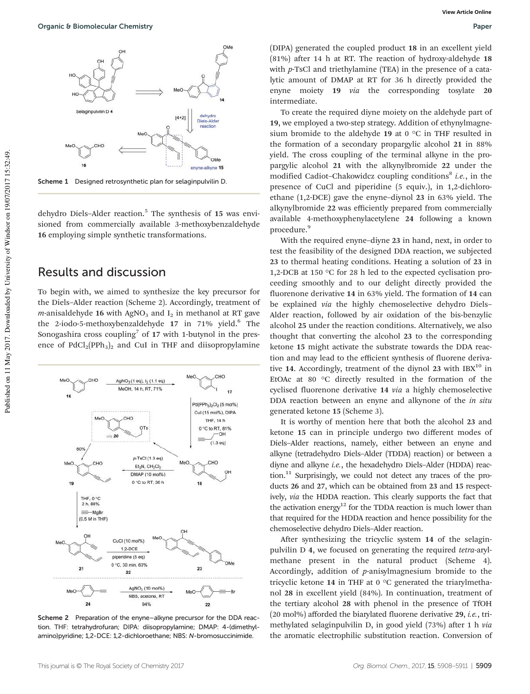

Scheme 1 Designed retrosynthetic plan for selaginpulvilin D.

dehydro Diels-Alder reaction.<sup>5</sup> The synthesis of 15 was envisioned from commercially available 3-methoxybenzaldehyde 16 employing simple synthetic transformations.

#### Results and discussion

To begin with, we aimed to synthesize the key precursor for the Diels–Alder reaction (Scheme 2). Accordingly, treatment of *m*-anisaldehyde 16 with AgNO<sub>3</sub> and  $I_2$  in methanol at RT gave the 2-iodo-5-methoxybenzaldehyde 17 in 71% yield.<sup>6</sup> The Sonogashira cross coupling<sup>7</sup> of  $17$  with 1-butynol in the presence of  $PdCl<sub>2</sub>(PPh<sub>3</sub>)<sub>2</sub>$  and CuI in THF and diisopropylamine



Scheme 2 Preparation of the enyne–alkyne precursor for the DDA reaction. THF: tetrahydrofuran; DIPA: diisopropylamine; DMAP: 4-(dimethylamino)pyridine; 1,2-DCE: 1,2-dichloroethane; NBS: N-bromosuccinimide.

(DIPA) generated the coupled product 18 in an excellent yield (81%) after 14 h at RT. The reaction of hydroxy-aldehyde 18 with *p*-TsCl and triethylamine (TEA) in the presence of a catalytic amount of DMAP at RT for 36 h directly provided the enyne moiety 19 *via* the corresponding tosylate 20 intermediate.

To create the required diyne moiety on the aldehyde part of 19, we employed a two-step strategy. Addition of ethynylmagnesium bromide to the aldehyde 19 at 0 °C in THF resulted in the formation of a secondary propargylic alcohol 21 in 88% yield. The cross coupling of the terminal alkyne in the propargylic alcohol 21 with the alkynylbromide 22 under the modified Cadiot-Chakowidcz coupling conditions<sup>8</sup> i.e., in the presence of CuCl and piperidine (5 equiv.), in 1,2-dichloroethane (1,2-DCE) gave the enyne–diynol 23 in 63% yield. The alkynylbromide 22 was efficiently prepared from commercially available 4-methoxyphenylacetylene 24 following a known procedure.<sup>9</sup>

With the required enyne–diyne 23 in hand, next, in order to test the feasibility of the designed DDA reaction, we subjected 23 to thermal heating conditions. Heating a solution of 23 in 1,2-DCB at 150 °C for 28 h led to the expected cyclisation proceeding smoothly and to our delight directly provided the fluorenone derivative 14 in 63% yield. The formation of 14 can be explained *via* the highly chemoselective dehydro Diels– Alder reaction, followed by air oxidation of the bis-benzylic alcohol 25 under the reaction conditions. Alternatively, we also thought that converting the alcohol 23 to the corresponding ketone 15 might activate the substrate towards the DDA reaction and may lead to the efficient synthesis of fluorene derivative 14. Accordingly, treatment of the diynol 23 with  $IBX<sup>10</sup>$  in EtOAc at 80 °C directly resulted in the formation of the cyclised fluorenone derivative 14 *via* a highly chemoselective DDA reaction between an enyne and alkynone of the *in situ* generated ketone 15 (Scheme 3).

It is worthy of mention here that both the alcohol 23 and ketone 15 can in principle undergo two different modes of Diels–Alder reactions, namely, either between an enyne and alkyne (tetradehydro Diels–Alder (TDDA) reaction) or between a diyne and alkyne *i.e.*, the hexadehydro Diels–Alder (HDDA) reac- $\chi$  tion.<sup>11</sup> Surprisingly, we could not detect any traces of the products 26 and 27, which can be obtained from 23 and 15 respectively, *via* the HDDA reaction. This clearly supports the fact that the activation energy $12$  for the TDDA reaction is much lower than that required for the HDDA reaction and hence possibility for the chemoselective dehydro Diels–Alder reaction.

After synthesizing the tricyclic system 14 of the selaginpulvilin D 4, we focused on generating the required *tetra*-arylmethane present in the natural product (Scheme 4). Accordingly, addition of *p*-anisylmagnesium bromide to the tricyclic ketone 14 in THF at  $0^{\circ}$ C generated the triarylmethanol 28 in excellent yield (84%). In continuation, treatment of the tertiary alcohol 28 with phenol in the presence of TfOH (20 mol%) afforded the biarylated fluorene derivative 29, *i.e.*, trimethylated selaginpulvilin D, in good yield (73%) after 1 h *via* the aromatic electrophilic substitution reaction. Conversion of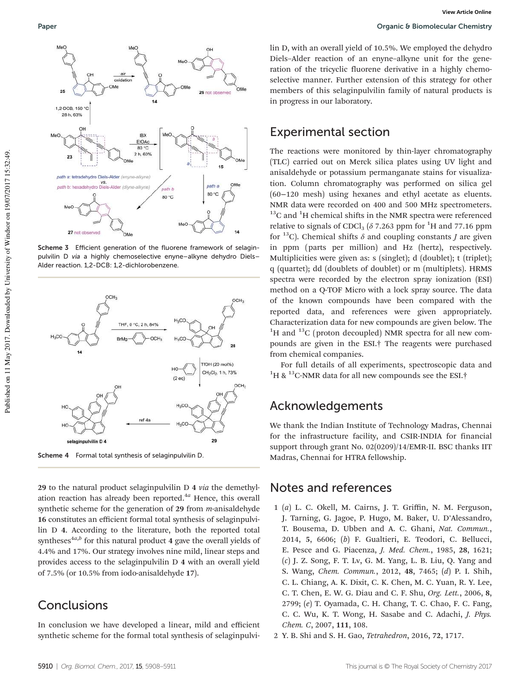

Scheme 3 Efficient generation of the fluorene framework of selaginpulvilin D via a highly chemoselective enyne–alkyne dehydro Diels– Alder reaction. 1,2-DCB: 1,2-dichlorobenzene.



Scheme 4 Formal total synthesis of selaginpulvilin D.

29 to the natural product selaginpulvilin D 4 *via* the demethylation reaction has already been reported.<sup>4*a*</sup> Hence, this overall synthetic scheme for the generation of 29 from *m*-anisaldehyde 16 constitutes an efficient formal total synthesis of selaginpulvilin D 4. According to the literature, both the reported total syntheses<sup>4a,*b*</sup> for this natural product 4 gave the overall yields of 4.4% and 17%. Our strategy involves nine mild, linear steps and provides access to the selaginpulvilin D 4 with an overall yield of 7.5% (or 10.5% from iodo-anisaldehyde 17).

# **Conclusions**

In conclusion we have developed a linear, mild and efficient synthetic scheme for the formal total synthesis of selaginpulvilin D, with an overall yield of 10.5%. We employed the dehydro Diels–Alder reaction of an enyne–alkyne unit for the generation of the tricyclic fluorene derivative in a highly chemoselective manner. Further extension of this strategy for other members of this selaginpulvilin family of natural products is in progress in our laboratory.

## Experimental section

The reactions were monitored by thin-layer chromatography (TLC) carried out on Merck silica plates using UV light and anisaldehyde or potassium permanganate stains for visualization. Column chromatography was performed on silica gel (60−120 mesh) using hexanes and ethyl acetate as eluents. NMR data were recorded on 400 and 500 MHz spectrometers.  $13^{\circ}$ C and  $1^{\circ}$ H chemical shifts in the NMR spectra were referenced relative to signals of CDCl<sub>3</sub> ( $\delta$  7.263 ppm for <sup>1</sup>H and 77.16 ppm for <sup>13</sup>C). Chemical shifts  $\delta$  and coupling constants *J* are given in ppm (parts per million) and Hz (hertz), respectively. Multiplicities were given as: s (singlet); d (doublet); t (triplet); q (quartet); dd (doublets of doublet) or m (multiplets). HRMS spectra were recorded by the electron spray ionization (ESI) method on a Q-TOF Micro with a lock spray source. The data of the known compounds have been compared with the reported data, and references were given appropriately. Characterization data for new compounds are given below. The  ${}^{1}$ H and  ${}^{13}$ C (proton decoupled) NMR spectra for all new compounds are given in the ESI.† The reagents were purchased from chemical companies.

For full details of all experiments, spectroscopic data and <sup>1</sup>H & <sup>13</sup>C-NMR data for all new compounds see the ESI.<sup>†</sup>

### Acknowledgements

We thank the Indian Institute of Technology Madras, Chennai for the infrastructure facility, and CSIR-INDIA for financial support through grant No. 02(0209)/14/EMR-II. BSC thanks IIT Madras, Chennai for HTRA fellowship.

# Notes and references

- 1 (*a*) L. C. Okell, M. Cairns, J. T. Griffin, N. M. Ferguson, J. Tarning, G. Jagoe, P. Hugo, M. Baker, U. D'Alessandro, T. Bousema, D. Ubben and A. C. Ghani, *Nat. Commun.*, 2014, 5, 6606; (*b*) F. Gualtieri, E. Teodori, C. Bellucci, E. Pesce and G. Piacenza, *J. Med. Chem.*, 1985, 28, 1621; (*c*) J. Z. Song, F. T. Lv, G. M. Yang, L. B. Liu, Q. Yang and S. Wang, *Chem. Commun.*, 2012, 48, 7465; (*d*) P. I. Shih, C. L. Chiang, A. K. Dixit, C. K. Chen, M. C. Yuan, R. Y. Lee, C. T. Chen, E. W. G. Diau and C. F. Shu, *Org. Lett.*, 2006, 8, 2799; (*e*) T. Oyamada, C. H. Chang, T. C. Chao, F. C. Fang, C. C. Wu, K. T. Wong, H. Sasabe and C. Adachi, *J. Phys. Chem. C*, 2007, 111, 108.
- 2 Y. B. Shi and S. H. Gao, *Tetrahedron*, 2016, 72, 1717.